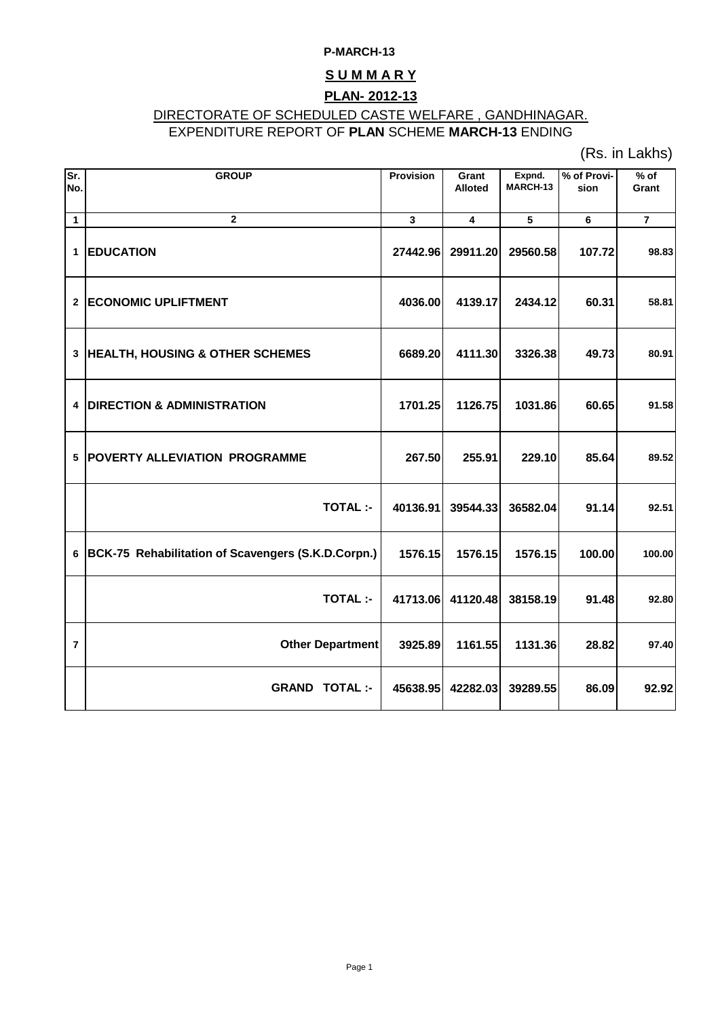### **P-MARCH-13**

## **S U M M A R Y**

## **PLAN- 2012-13**

# DIRECTORATE OF SCHEDULED CASTE WELFARE , GANDHINAGAR.

# EXPENDITURE REPORT OF **PLAN** SCHEME **MARCH-13** ENDING

(Rs. in Lakhs)

| Sr.            | <b>GROUP</b>                                       | <b>Provision</b> | Grant          | Expnd.   | % of Provi- | $%$ of         |
|----------------|----------------------------------------------------|------------------|----------------|----------|-------------|----------------|
| No.            |                                                    |                  | <b>Alloted</b> | MARCH-13 | sion        | Grant          |
|                |                                                    |                  |                |          |             |                |
| 1              | $\mathbf{2}$                                       | 3                | 4              | 5        | 6           | $\overline{7}$ |
| 1              | <b>EDUCATION</b>                                   | 27442.96         | 29911.20       | 29560.58 | 107.72      | 98.83          |
| $\mathbf{2}$   | <b>ECONOMIC UPLIFTMENT</b>                         | 4036.00          | 4139.17        | 2434.12  | 60.31       | 58.81          |
| 3              | <b>HEALTH, HOUSING &amp; OTHER SCHEMES</b>         | 6689.20          | 4111.30        | 3326.38  | 49.73       | 80.91          |
| 4              | <b>DIRECTION &amp; ADMINISTRATION</b>              | 1701.25          | 1126.75        | 1031.86  | 60.65       | 91.58          |
| 5              | <b>POVERTY ALLEVIATION PROGRAMME</b>               | 267.50           | 255.91         | 229.10   | 85.64       | 89.52          |
|                | <b>TOTAL:-</b>                                     | 40136.91         | 39544.33       | 36582.04 | 91.14       | 92.51          |
| 6              | BCK-75 Rehabilitation of Scavengers (S.K.D.Corpn.) | 1576.15          | 1576.15        | 1576.15  | 100.00      | 100.00         |
|                | <b>TOTAL:-</b>                                     | 41713.06         | 41120.48       | 38158.19 | 91.48       | 92.80          |
| $\overline{7}$ | <b>Other Department</b>                            | 3925.89          | 1161.55        | 1131.36  | 28.82       | 97.40          |
|                | <b>GRAND TOTAL :-</b>                              | 45638.95         | 42282.03       | 39289.55 | 86.09       | 92.92          |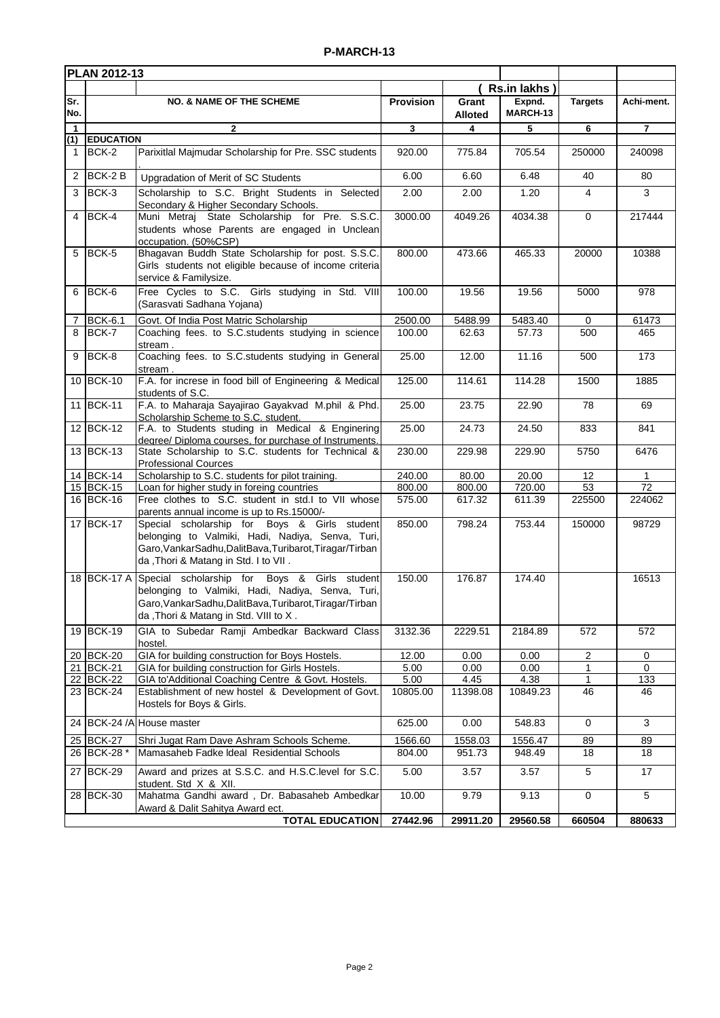| PLAN 2012-13   |                                     |                                                                                                                                                                                                        |                   |                         |                    |                |                 |
|----------------|-------------------------------------|--------------------------------------------------------------------------------------------------------------------------------------------------------------------------------------------------------|-------------------|-------------------------|--------------------|----------------|-----------------|
|                |                                     |                                                                                                                                                                                                        |                   |                         | Rs.in lakhs)       |                |                 |
| Sr.<br>No.     | <b>NO. &amp; NAME OF THE SCHEME</b> |                                                                                                                                                                                                        | <b>Provision</b>  | Grant<br><b>Alloted</b> | Expnd.<br>MARCH-13 | <b>Targets</b> | Achi-ment.      |
| $\mathbf{1}$   |                                     | 2                                                                                                                                                                                                      | 3                 | 4                       | 5                  | 6              | 7               |
| $\mathbf{1}$   | (1) EDUCATION<br>BCK-2              | Parixitlal Majmudar Scholarship for Pre. SSC students                                                                                                                                                  | 920.00            | 775.84                  | 705.54             | 250000         | 240098          |
| $\overline{2}$ | $BCK-2B$                            | Upgradation of Merit of SC Students                                                                                                                                                                    | 6.00              | 6.60                    | 6.48               | 40             | 80              |
| 3              | BCK-3                               | Scholarship to S.C. Bright Students in Selected<br>Secondary & Higher Secondary Schools.                                                                                                               | 2.00              | 2.00                    | 1.20               | 4              | 3               |
| $\overline{4}$ | BCK-4                               | Muni Metraj State Scholarship for Pre. S.S.C.<br>students whose Parents are engaged in Unclean<br>occupation. (50%CSP)                                                                                 | 3000.00           | 4049.26                 | 4034.38            | $\mathbf 0$    | 217444          |
| 5              | BCK-5                               | Bhagavan Buddh State Scholarship for post. S.S.C.<br>Girls students not eligible because of income criteria<br>service & Familysize.                                                                   | 800.00            | 473.66                  | 465.33             | 20000          | 10388           |
| 6              | BCK-6                               | Free Cycles to S.C. Girls studying in Std. VIII<br>(Sarasvati Sadhana Yojana)                                                                                                                          | 100.00            | 19.56                   | 19.56              | 5000           | 978             |
| $\overline{7}$ | <b>BCK-6.1</b>                      | Govt. Of India Post Matric Scholarship                                                                                                                                                                 | 2500.00           | 5488.99                 | 5483.40            | 0              | 61473           |
| 8              | BCK-7                               | Coaching fees. to S.C.students studying in science<br>stream.                                                                                                                                          | 100.00            | 62.63                   | 57.73              | 500            | 465             |
| 9              | BCK-8                               | Coaching fees. to S.C.students studying in General<br>stream.                                                                                                                                          | 25.00             | 12.00                   | 11.16              | 500            | 173             |
|                | 10 BCK-10                           | F.A. for increse in food bill of Engineering & Medical<br>students of S.C.                                                                                                                             | 125.00            | 114.61                  | 114.28             | 1500           | 1885            |
|                | 11 BCK-11                           | F.A. to Maharaja Sayajirao Gayakvad M.phil & Phd.<br>Scholarship Scheme to S.C. student.                                                                                                               | 25.00             | 23.75                   | 22.90              | 78             | 69              |
|                | 12 BCK-12                           | F.A. to Students studing in Medical & Enginering<br>degree/ Diploma courses, for purchase of Instruments.                                                                                              | 25.00             | 24.73                   | 24.50              | 833            | 841             |
|                | 13 BCK-13                           | State Scholarship to S.C. students for Technical &<br><b>Professional Cources</b>                                                                                                                      | 230.00            | 229.98                  | 229.90             | 5750           | 6476            |
|                | 14 BCK-14                           | Scholarship to S.C. students for pilot training.                                                                                                                                                       | 240.00            | 80.00                   | 20.00              | 12             | 1               |
|                | 15 BCK-15                           | Loan for higher study in foreing countries                                                                                                                                                             | 800.00            | 800.00                  | 720.00             | 53             | $\overline{72}$ |
|                | 16 BCK-16                           | Free clothes to S.C. student in std.I to VII whose<br>parents annual income is up to Rs.15000/-                                                                                                        | 575.00            | 617.32                  | 611.39             | 225500         | 224062          |
|                | 17 BCK-17                           | Special scholarship for Boys & Girls student<br>belonging to Valmiki, Hadi, Nadiya, Senva, Turi,<br>Garo, Vankar Sadhu, Dalit Bava, Turibarot, Tiragar/Tirban<br>da, Thori & Matang in Std. I to VII.  | 850.00            | 798.24                  | 753.44             | 150000         | 98729           |
|                | 18 BCK-17 A                         | Special scholarship for Boys & Girls student<br>belonging to Valmiki, Hadi, Nadiya, Senva, Turi,<br>Garo, Vankar Sadhu, Dalit Bava, Turibarot, Tiragar/Tirban<br>da, Thori & Matang in Std. VIII to X. | 150.00            | 176.87                  | 174.40             |                | 16513           |
|                | 19 BCK-19                           | GIA to Subedar Ramji Ambedkar Backward Class<br>hostel.                                                                                                                                                | 3132.36           | 2229.51                 | 2184.89            | 572            | 572             |
|                | 20 BCK-20                           | GIA for building construction for Boys Hostels.                                                                                                                                                        | 12.00             | 0.00                    | 0.00               | 2              | 0               |
|                | 21 BCK-21                           | GIA for building construction for Girls Hostels.                                                                                                                                                       | 5.00              | 0.00                    | 0.00               | 1              | 0               |
|                | 22 BCK-22<br>$\overline{23}$ BCK-24 | GIA to'Additional Coaching Centre & Govt. Hostels.<br>Establishment of new hostel & Development of Govt.<br>Hostels for Boys & Girls.                                                                  | 5.00<br>10805.00  | 4.45<br>11398.08        | 4.38<br>10849.23   | 1<br>46        | 133<br>46       |
|                |                                     | 24 BCK-24 /A House master                                                                                                                                                                              | 625.00            | 0.00                    | 548.83             | $\mathbf 0$    | 3               |
|                | 25 BCK-27<br>26 BCK-28 *            | Shri Jugat Ram Dave Ashram Schools Scheme.<br>Mamasaheb Fadke Ideal Residential Schools                                                                                                                | 1566.60<br>804.00 | 1558.03<br>951.73       | 1556.47<br>948.49  | 89<br>18       | 89<br>18        |
|                | 27 BCK-29                           | Award and prizes at S.S.C. and H.S.C.level for S.C.<br>student. Std X & XII.                                                                                                                           | 5.00              | 3.57                    | 3.57               | $\sqrt{5}$     | 17              |
|                | 28 BCK-30                           | Mahatma Gandhi award, Dr. Babasaheb Ambedkar<br>Award & Dalit Sahitya Award ect.                                                                                                                       | 10.00             | 9.79                    | 9.13               | $\mathbf 0$    | 5               |
|                |                                     | <b>TOTAL EDUCATION</b>                                                                                                                                                                                 | 27442.96          | 29911.20                | 29560.58           | 660504         | 880633          |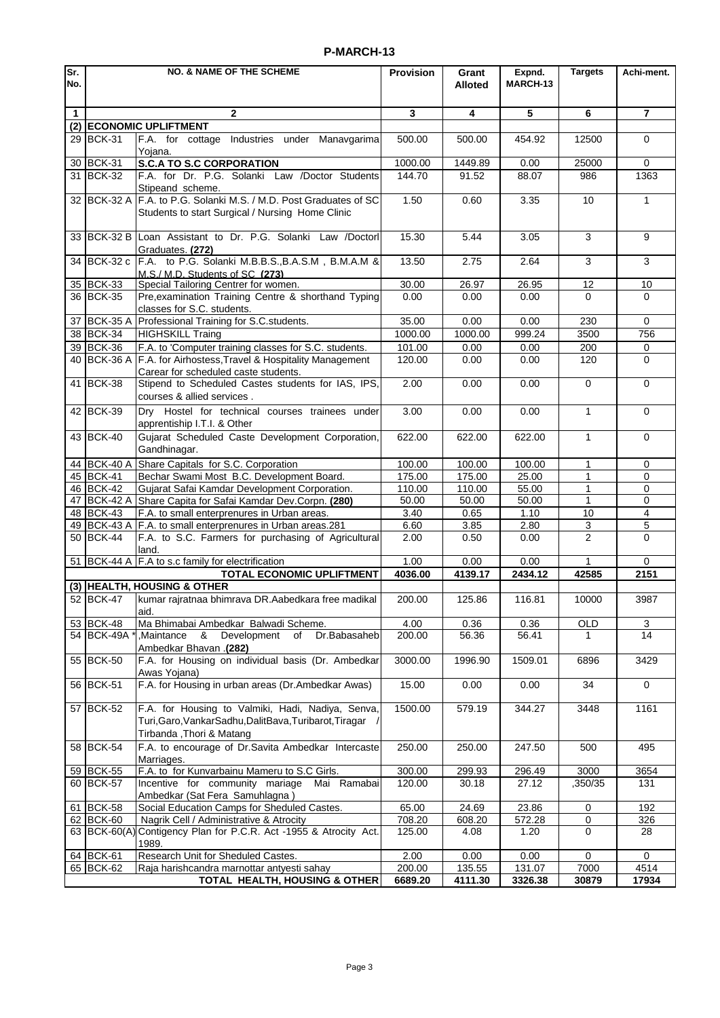### **P-MARCH-13**

| lSr.         | <b>NO. &amp; NAME OF THE SCHEME</b> |                                                                                                                                             | Provision        | Grant           | Expnd.          | <b>Targets</b>      | Achi-ment.         |
|--------------|-------------------------------------|---------------------------------------------------------------------------------------------------------------------------------------------|------------------|-----------------|-----------------|---------------------|--------------------|
| No.          |                                     |                                                                                                                                             |                  | <b>Alloted</b>  | MARCH-13        |                     |                    |
| $\mathbf{1}$ |                                     | $\mathbf{2}$                                                                                                                                | 3                | 4               | 5               | 6                   | $\overline{7}$     |
| (2)          |                                     | <b>ECONOMIC UPLIFTMENT</b>                                                                                                                  |                  |                 |                 |                     |                    |
|              | 29 BCK-31                           | F.A. for cottage Industries under<br>Manavgarima                                                                                            | 500.00           | 500.00          | 454.92          | 12500               | 0                  |
| 30           | BCK-31                              | Yojana.<br><b>S.C.A TO S.C CORPORATION</b>                                                                                                  | 1000.00          | 1449.89         | 0.00            | 25000               | $\Omega$           |
| 31           | <b>BCK-32</b>                       | F.A. for Dr. P.G. Solanki Law /Doctor Students                                                                                              | 144.70           | 91.52           | 88.07           | 986                 | 1363               |
|              |                                     | Stipeand scheme.                                                                                                                            |                  |                 |                 |                     |                    |
|              | 32 BCK-32 A                         | F.A. to P.G. Solanki M.S. / M.D. Post Graduates of SC<br>Students to start Surgical / Nursing Home Clinic                                   | 1.50             | 0.60            | 3.35            | 10                  | $\mathbf{1}$       |
|              |                                     | 33 BCK-32 B Loan Assistant to Dr. P.G. Solanki Law /Doctorl<br>Graduates. (272)                                                             | 15.30            | 5.44            | 3.05            | 3                   | 9                  |
|              | 34 BCK-32 c                         | F.A. to P.G. Solanki M.B.B.S., B.A.S.M, B.M.A.M &<br>M.S./ M.D. Students of SC (273)                                                        | 13.50            | 2.75            | 2.64            | 3                   | 3                  |
|              | 35 BCK-33                           | Special Tailoring Centrer for women.                                                                                                        | 30.00            | 26.97           | 26.95           | 12                  | 10                 |
|              | 36 BCK-35                           | Pre, examination Training Centre & shorthand Typing                                                                                         | 0.00             | 0.00            | 0.00            | 0                   | $\Omega$           |
|              |                                     | classes for S.C. students.                                                                                                                  |                  |                 |                 |                     |                    |
| 37<br>38     | <b>BCK-35 A</b><br><b>BCK-34</b>    | Professional Training for S.C.students.                                                                                                     | 35.00<br>1000.00 | 0.00<br>1000.00 | 0.00<br>999.24  | 230<br>3500         | $\mathbf 0$<br>756 |
|              |                                     | <b>HIGHSKILL Traing</b><br>F.A. to 'Computer training classes for S.C. students.                                                            |                  |                 |                 |                     |                    |
|              | 39 BCK-36<br>40 BCK-36 A            | F.A. for Airhostess, Travel & Hospitality Management                                                                                        | 101.00<br>120.00 | 0.00<br>0.00    | 0.00<br>0.00    | 200<br>120          | 0<br>$\Omega$      |
|              |                                     | Carear for scheduled caste students.                                                                                                        |                  |                 |                 |                     |                    |
|              | 41 BCK-38                           | Stipend to Scheduled Castes students for IAS, IPS,<br>courses & allied services.                                                            | 2.00             | 0.00            | 0.00            | $\mathbf 0$         | $\mathbf 0$        |
|              | 42 BCK-39                           | Dry Hostel for technical courses trainees under<br>apprentiship I.T.I. & Other                                                              | 3.00             | 0.00            | 0.00            | 1                   | $\mathbf 0$        |
|              | 43 BCK-40                           | Gujarat Scheduled Caste Development Corporation,<br>Gandhinagar.                                                                            | 622.00           | 622.00          | 622.00          | $\mathbf{1}$        | $\Omega$           |
|              | 44 BCK-40 A                         | Share Capitals for S.C. Corporation                                                                                                         | 100.00           | 100.00          | 100.00          | 1                   | 0                  |
|              | 45 BCK-41                           | Bechar Swami Most B.C. Development Board.                                                                                                   | 175.00           | 175.00          | 25.00           | 1                   | 0                  |
|              | 46 BCK-42                           | Gujarat Safai Kamdar Development Corporation.                                                                                               | 110.00           | 110.00          | 55.00           | 1                   | 0                  |
| 47           | <b>BCK-42 A</b>                     | Share Capita for Safai Kamdar Dev.Corpn. (280)                                                                                              | 50.00            | 50.00           | 50.00           | 1                   | 0                  |
|              | 48 BCK-43                           | F.A. to small enterprenures in Urban areas.                                                                                                 | 3.40             | 0.65            | 1.10            | 10                  | $\overline{4}$     |
|              | 49 BCK-43 A<br>50 BCK-44            | F.A. to small enterprenures in Urban areas.281<br>F.A. to S.C. Farmers for purchasing of Agricultural                                       | 6.60<br>2.00     | 3.85<br>0.50    | 2.80<br>0.00    | 3<br>$\overline{c}$ | 5<br>$\Omega$      |
|              |                                     | land.                                                                                                                                       |                  |                 |                 |                     |                    |
|              |                                     | 51 BCK-44 A F.A to s.c family for electrification                                                                                           | 1.00             | 0.00            | 0.00            |                     | 0                  |
|              |                                     | <b>TOTAL ECONOMIC UPLIFTMENT</b>                                                                                                            | 4036.00          | 4139.17         | 2434.12         | 42585               | 2151               |
|              |                                     | (3) HEALTH, HOUSING & OTHER                                                                                                                 |                  |                 |                 |                     |                    |
|              | 52 BCK-47                           | kumar rajratnaa bhimrava DR.Aabedkara free madikal<br>aid.                                                                                  | 200.00           | 125.86          | 116.81          | 10000               | 3987               |
|              | 53 BCK-48<br>54 BCK-49A             | Ma Bhimabai Ambedkar Balwadi Scheme.<br>Development<br>of<br>Dr.Babasaheb<br>Maintance.<br>- &<br>Ambedkar Bhavan .(282)                    | 4.00<br>200.00   | 0.36<br>56.36   | 0.36<br>56.41   | <b>OLD</b><br>1     | 3<br>14            |
|              | 55 BCK-50                           | F.A. for Housing on individual basis (Dr. Ambedkar<br>Awas Yojana)                                                                          | 3000.00          | 1996.90         | 1509.01         | 6896                | 3429               |
|              | 56 BCK-51                           | F.A. for Housing in urban areas (Dr.Ambedkar Awas)                                                                                          | 15.00            | 0.00            | 0.00            | 34                  | $\mathbf 0$        |
|              | 57 BCK-52                           | F.A. for Housing to Valmiki, Hadi, Nadiya, Senva,<br>Turi, Garo, Vankar Sadhu, Dalit Bava, Turibarot, Tiragar /<br>Tirbanda, Thori & Matang | 1500.00          | 579.19          | 344.27          | 3448                | 1161               |
|              | 58 BCK-54                           | F.A. to encourage of Dr.Savita Ambedkar Intercaste<br>Marriages.                                                                            | 250.00           | 250.00          | 247.50          | 500                 | 495                |
|              | 59 BCK-55                           | F.A. to for Kunvarbainu Mameru to S.C Girls.                                                                                                | 300.00           | 299.93          | 296.49          | 3000                | 3654               |
|              | 60 BCK-57                           | Incentive for community mariage Mai Ramabai                                                                                                 | 120.00           | 30.18           | 27.12           | ,350/35             | 131                |
|              |                                     | Ambedkar (Sat Fera Samuhlagna)                                                                                                              |                  |                 |                 |                     |                    |
|              | 61 BCK-58<br>62 BCK-60              | Social Education Camps for Sheduled Castes.<br>Nagrik Cell / Administrative & Atrocity                                                      | 65.00<br>708.20  | 24.69<br>608.20 | 23.86<br>572.28 | 0<br>0              | 192<br>326         |
|              | 63 BCK-60(A)                        | Contigency Plan for P.C.R. Act -1955 & Atrocity Act.<br>1989.                                                                               | 125.00           | 4.08            | 1.20            | $\mathbf 0$         | 28                 |
|              | 64 BCK-61                           | Research Unit for Sheduled Castes.                                                                                                          | 2.00             | 0.00            | 0.00            | 0                   | 0                  |
|              | 65 BCK-62                           | Raja harishcandra marnottar antyesti sahay                                                                                                  | 200.00           | 135.55          | 131.07          | 7000                | 4514               |
|              |                                     | TOTAL HEALTH, HOUSING & OTHER                                                                                                               | 6689.20          | 4111.30         | 3326.38         | 30879               | 17934              |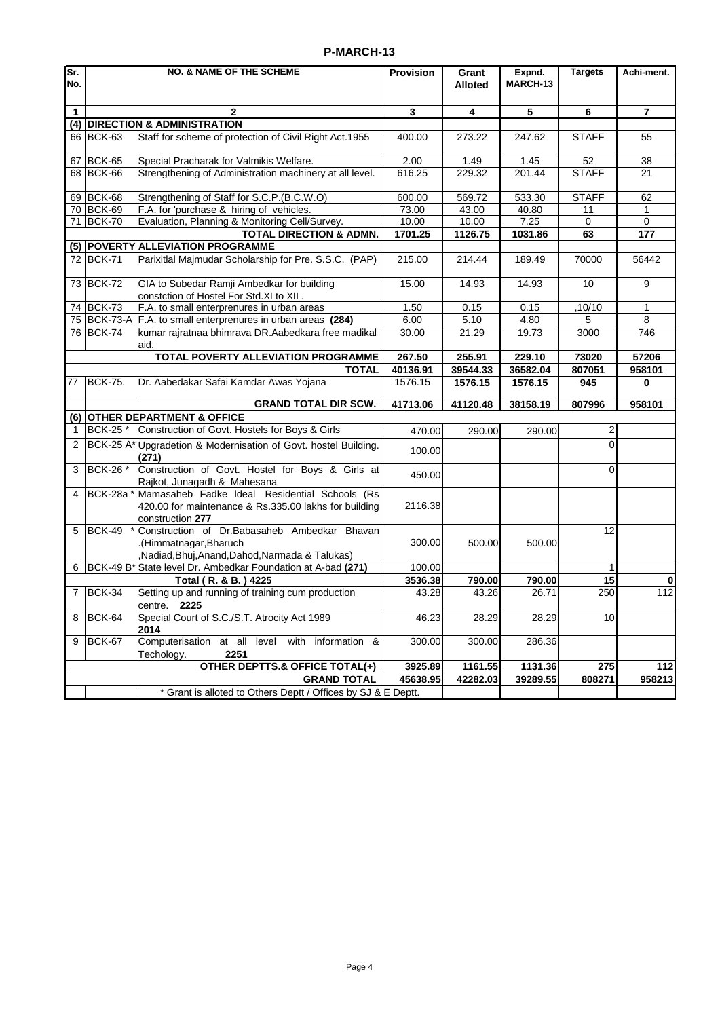### **P-MARCH-13**

| Sr.<br>No.                         | <b>NO. &amp; NAME OF THE SCHEME</b> |                                                                                                                            | Provision | Grant<br><b>Alloted</b> | Expnd.<br>MARCH-13      | <b>Targets</b> | Achi-ment.     |
|------------------------------------|-------------------------------------|----------------------------------------------------------------------------------------------------------------------------|-----------|-------------------------|-------------------------|----------------|----------------|
|                                    |                                     |                                                                                                                            |           |                         |                         |                |                |
| $\mathbf{1}$                       |                                     | $\mathbf{2}$                                                                                                               | 3         | 4                       | $\overline{\mathbf{5}}$ | 6              | $\overline{7}$ |
| (4)                                |                                     | <b>DIRECTION &amp; ADMINISTRATION</b>                                                                                      |           |                         |                         |                |                |
|                                    | 66 BCK-63                           | Staff for scheme of protection of Civil Right Act.1955                                                                     | 400.00    | 273.22                  | 247.62                  | <b>STAFF</b>   | 55             |
| 67                                 | <b>BCK-65</b>                       | Special Pracharak for Valmikis Welfare.                                                                                    | 2.00      | 1.49                    | 1.45                    | 52             | 38             |
|                                    | 68 BCK-66                           | Strengthening of Administration machinery at all level.                                                                    | 616.25    | 229.32                  | 201.44                  | <b>STAFF</b>   | 21             |
| 69                                 | BCK-68                              | Strengthening of Staff for S.C.P.(B.C.W.O)                                                                                 | 600.00    | 569.72                  | 533.30                  | <b>STAFF</b>   | 62             |
|                                    | 70 BCK-69                           | F.A. for 'purchase & hiring of vehicles.                                                                                   | 73.00     | 43.00                   | 40.80                   | 11             | 1              |
| 71                                 | BCK-70                              | Evaluation, Planning & Monitoring Cell/Survey.                                                                             | 10.00     | 10.00                   | 7.25                    | $\Omega$       | $\Omega$       |
| <b>TOTAL DIRECTION &amp; ADMN.</b> |                                     |                                                                                                                            | 1701.25   | 1126.75                 | 1031.86                 | 63             | 177            |
|                                    |                                     | (5) POVERTY ALLEVIATION PROGRAMME                                                                                          |           |                         |                         |                |                |
|                                    | 72 BCK-71                           | Parixitlal Majmudar Scholarship for Pre. S.S.C. (PAP)                                                                      | 215.00    | 214.44                  | 189.49                  | 70000          | 56442          |
|                                    | 73 BCK-72                           | GIA to Subedar Ramji Ambedkar for building<br>constction of Hostel For Std.XI to XII .                                     | 15.00     | 14.93                   | 14.93                   | 10             | 9              |
|                                    | 74 BCK-73                           | F.A. to small enterprenures in urban areas                                                                                 | 1.50      | 0.15                    | 0.15                    | ,10/10         | $\mathbf{1}$   |
|                                    | 75 BCK-73-A                         | F.A. to small enterprenures in urban areas (284)                                                                           | 6.00      | 5.10                    | 4.80                    | 5              | 8              |
|                                    | 76 BCK-74                           | kumar rajratnaa bhimrava DR.Aabedkara free madikal<br>aid.                                                                 | 30.00     | 21.29                   | 19.73                   | 3000           | 746            |
|                                    |                                     | TOTAL POVERTY ALLEVIATION PROGRAMME                                                                                        | 267.50    | 255.91                  | 229.10                  | 73020          | 57206          |
|                                    |                                     | <b>TOTAL</b>                                                                                                               | 40136.91  | 39544.33                | 36582.04                | 807051         | 958101         |
| 77                                 | <b>BCK-75.</b>                      | Dr. Aabedakar Safai Kamdar Awas Yojana                                                                                     | 1576.15   | 1576.15                 | 1576.15                 | 945            | $\mathbf 0$    |
|                                    |                                     | <b>GRAND TOTAL DIR SCW.</b>                                                                                                | 41713.06  | 41120.48                | 38158.19                | 807996         | 958101         |
| (6)                                |                                     | <b>OTHER DEPARTMENT &amp; OFFICE</b>                                                                                       |           |                         |                         |                |                |
| 1                                  | <b>BCK-25*</b>                      | Construction of Govt. Hostels for Boys & Girls                                                                             | 470.00    | 290.00                  | 290.00                  | $\overline{2}$ |                |
| $\overline{2}$                     | <b>BCK-25 A*</b>                    | Upgradetion & Modernisation of Govt. hostel Building.<br>(271)                                                             | 100.00    |                         |                         | $\Omega$       |                |
| 3                                  | BCK-26 *                            | Construction of Govt. Hostel for Boys & Girls at<br>Rajkot, Junagadh & Mahesana                                            | 450.00    |                         |                         | $\mathbf 0$    |                |
| 4                                  | BCK-28a                             | Mamasaheb Fadke Ideal Residential Schools (Rs<br>420.00 for maintenance & Rs.335.00 lakhs for building<br>construction 277 | 2116.38   |                         |                         |                |                |
| 5                                  | <b>BCK-49</b>                       | Construction of Dr.Babasaheb Ambedkar Bhavan<br>.(Himmatnagar, Bharuch<br>,Nadiad,Bhuj,Anand,Dahod,Narmada & Talukas)      | 300.00    | 500.00                  | 500.00                  | 12             |                |
| 6                                  |                                     | BCK-49 B* State level Dr. Ambedkar Foundation at A-bad (271)                                                               | 100.00    |                         |                         | $\mathbf{1}$   |                |
|                                    |                                     | Total (R. & B.) 4225                                                                                                       | 3536.38   | 790.00                  | 790.00                  | 15             | 0              |
| $\overline{7}$                     | <b>BCK-34</b>                       | Setting up and running of training cum production<br>centre. 2225                                                          | 43.28     | 43.26                   | 26.71                   | 250            | 112            |
| 8                                  | <b>BCK-64</b>                       | Special Court of S.C./S.T. Atrocity Act 1989<br>2014                                                                       | 46.23     | 28.29                   | 28.29                   | 10             |                |
| 9                                  | BCK-67                              | Computerisation at all level with information &<br>2251<br>Techology.                                                      | 300.00    | 300.00                  | 286.36                  |                |                |
|                                    |                                     | OTHER DEPTTS.& OFFICE TOTAL(+)                                                                                             | 3925.89   | 1161.55                 | 1131.36                 | 275            | 112            |
|                                    |                                     | <b>GRAND TOTAL</b>                                                                                                         | 45638.95  | 42282.03                | 39289.55                | 808271         | 958213         |
|                                    |                                     | * Grant is alloted to Others Deptt / Offices by SJ & E Deptt.                                                              |           |                         |                         |                |                |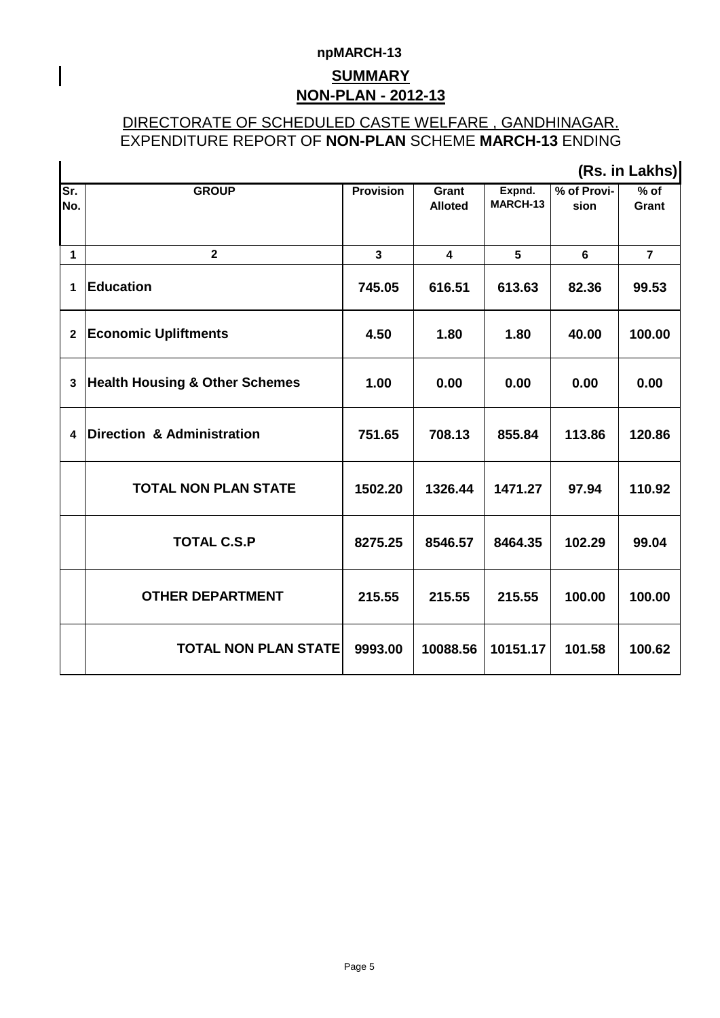# **npMARCH-13 NON-PLAN - 2012-13 SUMMARY**

 $\overline{\phantom{a}}$ 

## DIRECTORATE OF SCHEDULED CASTE WELFARE , GANDHINAGAR. EXPENDITURE REPORT OF **NON-PLAN** SCHEME **MARCH-13** ENDING

|                | (Rs. in Lakhs)                            |                  |                         |                    |                     |                 |  |  |  |
|----------------|-------------------------------------------|------------------|-------------------------|--------------------|---------------------|-----------------|--|--|--|
| Sr.<br>No.     | <b>GROUP</b>                              | <b>Provision</b> | Grant<br><b>Alloted</b> | Expnd.<br>MARCH-13 | % of Provi-<br>sion | $%$ of<br>Grant |  |  |  |
| $\mathbf{1}$   | $\mathbf{2}$                              | $\mathbf{3}$     | $\overline{\mathbf{4}}$ | 5                  | $6\phantom{a}$      | $\overline{7}$  |  |  |  |
| 1              | <b>Education</b>                          | 745.05           | 616.51                  | 613.63             | 82.36               | 99.53           |  |  |  |
| $\overline{2}$ | <b>Economic Upliftments</b>               | 4.50             | 1.80                    | 1.80               | 40.00               | 100.00          |  |  |  |
| 3              | <b>Health Housing &amp; Other Schemes</b> | 1.00             | 0.00                    | 0.00               | 0.00                | 0.00            |  |  |  |
| 4              | <b>Direction &amp; Administration</b>     | 751.65           | 708.13                  | 855.84             | 113.86              | 120.86          |  |  |  |
|                | <b>TOTAL NON PLAN STATE</b>               | 1502.20          | 1326.44                 | 1471.27            | 97.94               | 110.92          |  |  |  |
|                | <b>TOTAL C.S.P</b>                        | 8275.25          | 8546.57                 | 8464.35            | 102.29              | 99.04           |  |  |  |
|                | <b>OTHER DEPARTMENT</b>                   | 215.55           | 215.55                  | 215.55             | 100.00              | 100.00          |  |  |  |
|                | <b>TOTAL NON PLAN STATE</b>               | 9993.00          | 10088.56                | 10151.17           | 101.58              | 100.62          |  |  |  |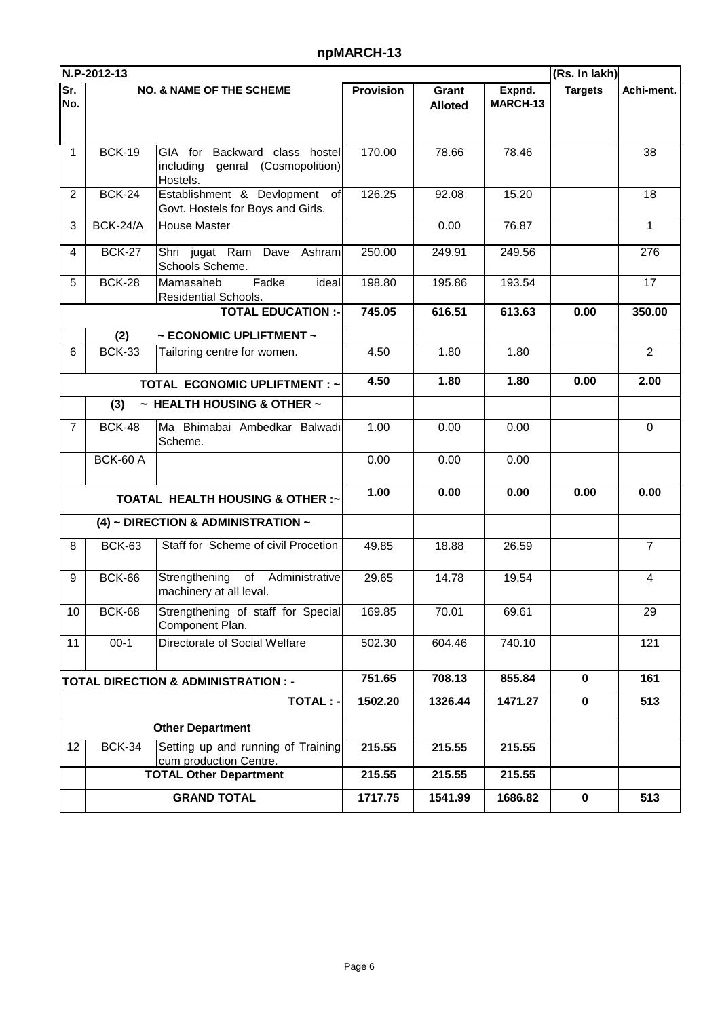## **npMARCH-13**

|                                                 | N.P-2012-13     |                                                                                  |                  |                         |                    | (Rs. In lakh)  |                |
|-------------------------------------------------|-----------------|----------------------------------------------------------------------------------|------------------|-------------------------|--------------------|----------------|----------------|
| Sr.<br>No.                                      |                 | <b>NO. &amp; NAME OF THE SCHEME</b>                                              | <b>Provision</b> | Grant<br><b>Alloted</b> | Expnd.<br>MARCH-13 | <b>Targets</b> | Achi-ment.     |
| 1                                               | <b>BCK-19</b>   | GIA for Backward class hostel<br>including<br>genral (Cosmopolition)<br>Hostels. | 170.00           | 78.66                   | 78.46              |                | 38             |
| $\overline{2}$                                  | <b>BCK-24</b>   | Establishment & Devlopment of<br>Govt. Hostels for Boys and Girls.               | 126.25           | 92.08                   | 15.20              |                | 18             |
| 3                                               | <b>BCK-24/A</b> | House Master                                                                     |                  | 0.00                    | 76.87              |                | 1              |
| 4                                               | <b>BCK-27</b>   | Shri jugat Ram Dave Ashram<br>Schools Scheme.                                    | 250.00           | 249.91                  | 249.56             |                | 276            |
| 5                                               | <b>BCK-28</b>   | Fadke<br>Mamasaheb<br>ideal<br>Residential Schools.                              | 198.80           | 195.86                  | 193.54             |                | 17             |
|                                                 |                 | <b>TOTAL EDUCATION :-</b>                                                        | 745.05           | 616.51                  | 613.63             | 0.00           | 350.00         |
|                                                 | (2)             | $\sim$ ECONOMIC UPLIFTMENT $\sim$                                                |                  |                         |                    |                |                |
| 6                                               | <b>BCK-33</b>   | Tailoring centre for women.                                                      | 4.50             | 1.80                    | 1.80               |                | $\overline{2}$ |
|                                                 |                 | <b>TOTAL ECONOMIC UPLIFTMENT : ~</b>                                             | 4.50             | 1.80                    | 1.80               | 0.00           | 2.00           |
|                                                 | (3)             | $\sim$ HEALTH HOUSING & OTHER $\sim$                                             |                  |                         |                    |                |                |
| $\overline{7}$                                  | <b>BCK-48</b>   | Ma Bhimabai Ambedkar Balwadi<br>Scheme.                                          | 1.00             | 0.00                    | 0.00               |                | 0              |
|                                                 | <b>BCK-60 A</b> |                                                                                  | 0.00             | 0.00                    | 0.00               |                |                |
|                                                 |                 | <b>TOATAL HEALTH HOUSING &amp; OTHER :~</b>                                      | 1.00             | 0.00                    | 0.00               | 0.00           | 0.00           |
|                                                 |                 | (4) ~ DIRECTION & ADMINISTRATION ~                                               |                  |                         |                    |                |                |
| 8                                               | <b>BCK-63</b>   | Staff for Scheme of civil Procetion                                              | 49.85            | 18.88                   | 26.59              |                | $\overline{7}$ |
| 9                                               | <b>BCK-66</b>   | Strengthening<br>of<br>Administrative<br>machinery at all leval.                 | 29.65            | 14.78                   | 19.54              |                | 4              |
| 10                                              | <b>BCK-68</b>   | Strengthening of staff for Special<br>Component Plan.                            | 169.85           | 70.01                   | 69.61              |                | 29             |
| 11                                              | $00-1$          | Directorate of Social Welfare                                                    | 502.30           | 604.46                  | 740.10             |                | 121            |
| <b>TOTAL DIRECTION &amp; ADMINISTRATION : -</b> |                 |                                                                                  | 751.65           | 708.13                  | 855.84             | $\mathbf{0}$   | 161            |
| <b>TOTAL: -</b>                                 |                 |                                                                                  | 1502.20          | 1326.44                 | 1471.27            | $\mathbf 0$    | 513            |
| <b>Other Department</b>                         |                 |                                                                                  |                  |                         |                    |                |                |
| 12                                              | <b>BCK-34</b>   | Setting up and running of Training<br>cum production Centre.                     | 215.55           | 215.55                  | 215.55             |                |                |
|                                                 |                 | <b>TOTAL Other Department</b>                                                    | 215.55           | 215.55                  | 215.55             |                |                |
|                                                 |                 | <b>GRAND TOTAL</b>                                                               | 1717.75          | 1541.99                 | 1686.82            | $\mathbf 0$    | 513            |